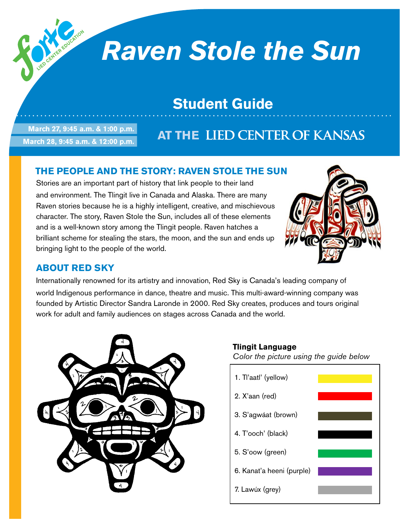# *Raven Stole the Sun*

## **Student Guide**

**March 27, 9:45 a.m. & 1:00 p.m. March 28, 9:45 a.m. & 12:00 p.m.**

## **AT THE LIED CENTER OF KANSAS**

### **The People and the Story: Raven Stole the Sun**

Stories are an important part of history that link people to their land and environment. The Tlingit live in Canada and Alaska. There are many Raven stories because he is a highly intelligent, creative, and mischievous character. The story, Raven Stole the Sun, includes all of these elements and is a well-known story among the Tlingit people. Raven hatches a brilliant scheme for stealing the stars, the moon, and the sun and ends up bringing light to the people of the world.



#### **About Red Sky**

Internationally renowned for its artistry and innovation, Red Sky is Canada's leading company of world Indigenous performance in dance, theatre and music. This multi-award-winning company was founded by Artistic Director Sandra Laronde in 2000. Red Sky creates, produces and tours original work for adult and family audiences on stages across Canada and the world.